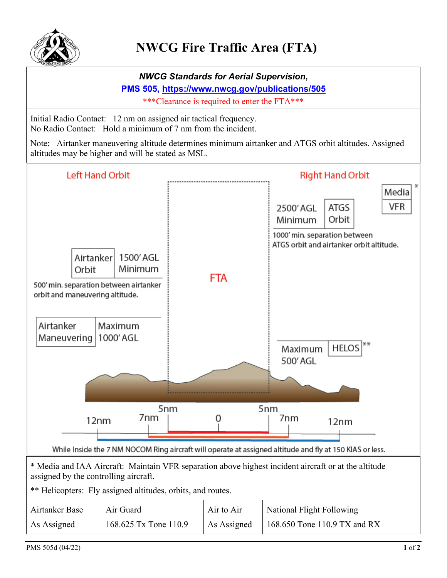

*NWCG Standards for Aerial Supervision***, PMS 505,<https://www.nwcg.gov/publications/505>** \*\*\*Clearance is required to enter the FTA\*\*\* Initial Radio Contact: 12 nm on assigned air tactical frequency. No Radio Contact: Hold a minimum of 7 nm from the incident. Note: Airtanker maneuvering altitude determines minimum airtanker and ATGS orbit altitudes. Assigned altitudes may be higher and will be stated as MSL. **Left Hand Orbit Right Hand Orbit** Media **VFR ATGS** 2500' AGL Minimum Orbit 1000' min. separation between ATGS orbit and airtanker orbit altitude. Airtanker 1500' AGL **Minimum** Orbit **FTA** 500' min. separation between airtanker orbit and maneuvering altitude. Airtanker **Maximum** Maneuvering | 1000' AGL Maximum **HELOS** 500' AGL 5<sub>nm</sub> 5<sub>nm</sub> 7<sub>nm</sub> 0 7<sub>nm</sub> 12<sub>nm</sub>  $12nm$ While Inside the 7 NM NOCOM Ring aircraft will operate at assigned altitude and fly at 150 KIAS or less. \* Media and IAA Aircraft: Maintain VFR separation above highest incident aircraft or at the altitude assigned by the controlling aircraft. \*\* Helicopters: Fly assigned altitudes, orbits, and routes. Airtanker Base Air Guard Air to Air National Flight Following 168.625 Tx Tone 110.9 168.650 Tone 110.9 TX and RXAs Assigned As Assigned